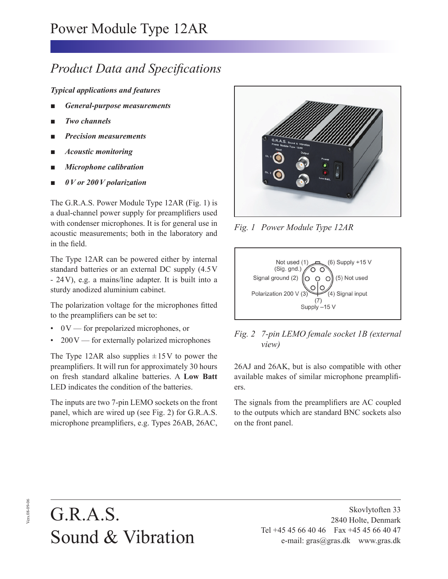## *Product Data and Specifications*

*Typical applications and features*

- *General-purpose measurements*
- *Two channels*
- *Precision measurements*
- ■ *Acoustic monitoring*
- ■ *Microphone calibration*
- ■ *0 V or 200 V polarization*

The G.R.A.S. Power Module Type 12AR (Fig. 1) is a dual-channel power supply for preamplifiers used with condenser microphones. It is for general use in acoustic measurements; both in the laboratory and in the field.

The Type 12AR can be powered either by internal standard batteries or an external DC supply (4.5 V - 24 V), e.g. a mains/line adapter. It is built into a sturdy anodized aluminium cabinet.

The polarization voltage for the microphones fitted to the preamplifiers can be set to:

- 0 V for prepolarized microphones, or
- $200V$  for externally polarized microphones

The Type 12AR also supplies  $\pm 15$ V to power the preamplifiers. It will run for approximately 30 hours on fresh standard alkaline batteries. A **Low Batt** LED indicates the condition of the batteries.

The inputs are two 7-pin LEMO sockets on the front panel, which are wired up (see Fig. 2) for G.R.A.S. microphone preamplifiers, e.g. Types 26AB, 26AC,



*Fig. 1 Power Module Type 12AR*





26AJ and 26AK, but is also compatible with other available makes of similar microphone preamplifiers.

The signals from the preamplifiers are AC coupled to the outputs which are standard BNC sockets also on the front panel.

## G.R.A.S. Sound & Vibration

Skovlytoften 33 2840 Holte, Denmark Tel +45 45 66 40 46 Fax +45 45 66 40 47 e-mail: gras@gras.dk www.gras.dk